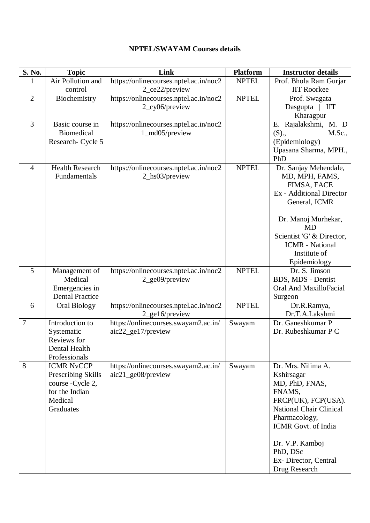| S. No.         | <b>Topic</b>                                                                                           | Link                                                       | <b>Platform</b> | <b>Instructor details</b>                                                                                                                                                                                                             |
|----------------|--------------------------------------------------------------------------------------------------------|------------------------------------------------------------|-----------------|---------------------------------------------------------------------------------------------------------------------------------------------------------------------------------------------------------------------------------------|
| 1              | Air Pollution and<br>control                                                                           | https://onlinecourses.nptel.ac.in/noc2<br>2_ce22/preview   | <b>NPTEL</b>    | Prof. Bhola Ram Gurjar<br><b>IIT Roorkee</b>                                                                                                                                                                                          |
| $\overline{2}$ | Biochemistry                                                                                           | https://onlinecourses.nptel.ac.in/noc2<br>2_cy06/preview   | <b>NPTEL</b>    | Prof. Swagata<br>Dasgupta   IIT<br>Kharagpur                                                                                                                                                                                          |
| $\overline{3}$ | Basic course in<br><b>Biomedical</b><br>Research- Cycle 5                                              | https://onlinecourses.nptel.ac.in/noc2<br>1_md05/preview   |                 | E. Rajalakshmi, M. D<br>(S),<br>M.Sc.,<br>(Epidemiology)<br>Upasana Sharma, MPH.,<br>PhD                                                                                                                                              |
| $\overline{4}$ | <b>Health Research</b><br>Fundamentals                                                                 | https://onlinecourses.nptel.ac.in/noc2<br>2_hs03/preview   | <b>NPTEL</b>    | Dr. Sanjay Mehendale,<br>MD, MPH, FAMS,<br>FIMSA, FACE<br>Ex - Additional Director<br>General, ICMR<br>Dr. Manoj Murhekar,<br><b>MD</b><br>Scientist 'G' & Director,<br><b>ICMR</b> - National<br>Institute of<br>Epidemiology        |
| 5              | Management of<br>Medical<br>Emergencies in<br><b>Dental Practice</b>                                   | https://onlinecourses.nptel.ac.in/noc2<br>2_ge09/preview   | <b>NPTEL</b>    | Dr. S. Jimson<br>BDS, MDS - Dentist<br>Oral And MaxilloFacial<br>Surgeon                                                                                                                                                              |
| 6              | Oral Biology                                                                                           | https://onlinecourses.nptel.ac.in/noc2<br>2_ge16/preview   | <b>NPTEL</b>    | Dr.R.Ramya,<br>Dr.T.A.Lakshmi                                                                                                                                                                                                         |
| $\overline{7}$ | Introduction to<br>Systematic<br>Reviews for<br>Dental Health<br>Professionals                         | https://onlinecourses.swayam2.ac.in/<br>aic22_ge17/preview | Swayam          | Dr. Ganeshkumar P<br>Dr. Rubeshkumar P C                                                                                                                                                                                              |
| 8              | <b>ICMR NvCCP</b><br>Prescribing Skills<br>course - Cycle 2,<br>for the Indian<br>Medical<br>Graduates | https://onlinecourses.swayam2.ac.in/<br>aic21_ge08/preview | Swayam          | Dr. Mrs. Nilima A.<br>Kshirsagar<br>MD, PhD, FNAS,<br>FNAMS,<br>FRCP(UK), FCP(USA).<br>National Chair Clinical<br>Pharmacology,<br><b>ICMR</b> Govt. of India<br>Dr. V.P. Kamboj<br>PhD, DSc<br>Ex-Director, Central<br>Drug Research |

## **NPTEL/SWAYAM Courses details**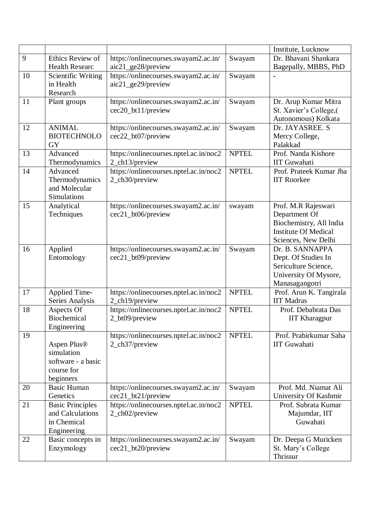|    |                                 |                                                            |              | Institute, Lucknow                        |
|----|---------------------------------|------------------------------------------------------------|--------------|-------------------------------------------|
| 9  | Ethics Review of                | https://onlinecourses.swayam2.ac.in/                       | Swayam       | Dr. Bhavani Shankara                      |
|    | <b>Health Researc</b>           | aic21_ge28/preview                                         |              | Bagepally, MBBS, PhD                      |
| 10 | Scientific Writing              | https://onlinecourses.swayam2.ac.in/                       | Swayam       |                                           |
|    | in Health<br>Research           | aic21_ge29/preview                                         |              |                                           |
| 11 | Plant groups                    | https://onlinecourses.swayam2.ac.in/                       | Swayam       | Dr. Arup Kumar Mitra                      |
|    |                                 | cec20_bt11/preview                                         |              | St. Xavier's College,(                    |
|    |                                 |                                                            |              | Autonomous) Kolkata                       |
| 12 | <b>ANIMAL</b>                   | https://onlinecourses.swayam2.ac.in/                       | Swayam       | Dr. JAYASREE. S                           |
|    | <b>BIOTECHNOLO</b>              | cec22_bt07/preview                                         |              | Mercy College,                            |
|    | <b>GY</b>                       |                                                            |              | Palakkad                                  |
| 13 | Advanced                        | https://onlinecourses.nptel.ac.in/noc2                     | <b>NPTEL</b> | Prof. Nanda Kishore                       |
|    | Thermodynamics                  | 2_ch13/preview                                             |              | <b>IIT</b> Guwahati                       |
| 14 | Advanced                        | https://onlinecourses.nptel.ac.in/noc2                     | <b>NPTEL</b> | Prof. Prateek Kumar Jha                   |
|    | Thermodynamics                  | 2_ch30/preview                                             |              | <b>IIT Roorkee</b>                        |
|    | and Molecular<br>Simulations    |                                                            |              |                                           |
| 15 | Analytical                      | https://onlinecourses.swayam2.ac.in/                       | swayam       | Prof. M.R Rajeswari                       |
|    | Techniques                      | cec21_bt06/preview                                         |              | Department Of                             |
|    |                                 |                                                            |              | Biochemistry, All India                   |
|    |                                 |                                                            |              | <b>Institute Of Medical</b>               |
|    |                                 |                                                            |              | Sciences, New Delhi                       |
| 16 | Applied                         | https://onlinecourses.swayam2.ac.in/                       | Swayam       | Dr. B. SANNAPPA                           |
|    | Entomology                      | cec21_bt09/preview                                         |              | Dept. Of Studies In                       |
|    |                                 |                                                            |              | Sericulture Science,                      |
|    |                                 |                                                            |              | University Of Mysore,                     |
| 17 | Applied Time-                   | https://onlinecourses.nptel.ac.in/noc2                     | <b>NPTEL</b> | Manasagangotri<br>Prof. Arun K. Tangirala |
|    | Series Analysis                 | 2_ch19/preview                                             |              | <b>IIT Madras</b>                         |
| 18 | Aspects Of                      | https://onlinecourses.nptel.ac.in/noc2                     | <b>NPTEL</b> | Prof. Debabrata Das                       |
|    | Biochemical                     | 2_bt09/preview                                             |              | <b>IIT Kharagpur</b>                      |
|    | Engineering                     |                                                            |              |                                           |
| 19 |                                 | https://onlinecourses.nptel.ac.in/noc2                     | <b>NPTEL</b> | Prof. Prabirkumar Saha                    |
|    | Aspen Plus®                     | 2_ch37/preview                                             |              | <b>IIT</b> Guwahati                       |
|    | simulation                      |                                                            |              |                                           |
|    | software - a basic              |                                                            |              |                                           |
|    | course for                      |                                                            |              |                                           |
| 20 | beginners<br><b>Basic Human</b> |                                                            |              | Prof. Md. Niamat Ali                      |
|    | Genetics                        | https://onlinecourses.swayam2.ac.in/<br>cec21_bt21/preview | Swayam       | University Of Kashmir                     |
| 21 | <b>Basic Principles</b>         | https://onlinecourses.nptel.ac.in/noc2                     | <b>NPTEL</b> | Prof. Subrata Kumar                       |
|    | and Calculations                | 2_ch02/preview                                             |              | Majumdar, IIT                             |
|    | in Chemical                     |                                                            |              | Guwahati                                  |
|    | Engineering                     |                                                            |              |                                           |
| 22 | Basic concepts in               | https://onlinecourses.swayam2.ac.in/                       | Swayam       | Dr. Deepa G Muricken                      |
|    | Enzymology                      | cec21_bt20/preview                                         |              | St. Mary's College                        |
|    |                                 |                                                            |              | Thrissur                                  |